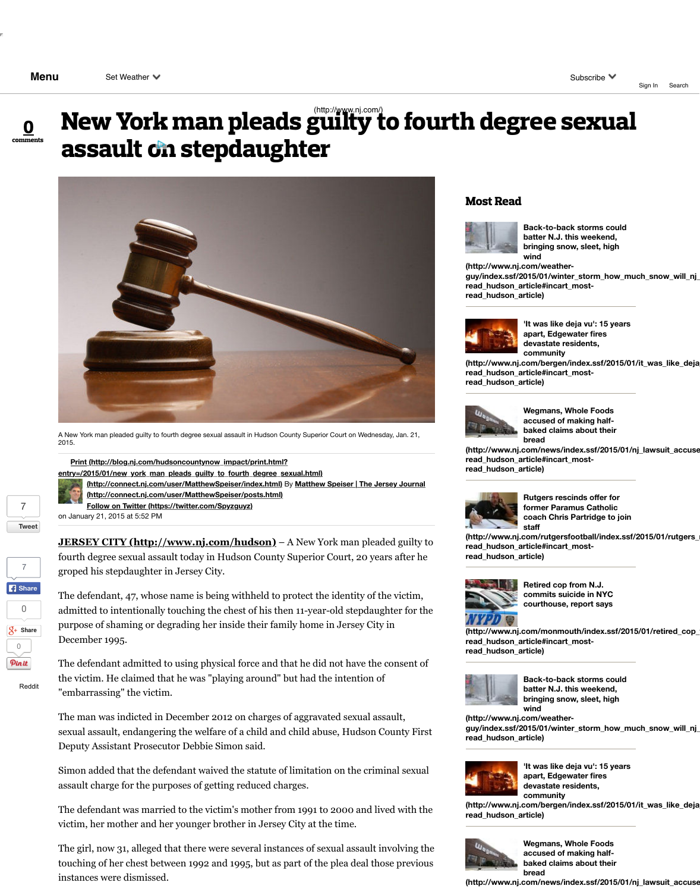A New York man pleaded guilty to fourth degree sexual assault in Hudson County Superior Court on Wed 2015.

**Print (http://blog.nj.com/hudsoncountynow\_impact/print.html? entry=/2015/01/new\_york\_man\_pleads\_guilty\_to\_fourth\_degree\_sexual.html)**



**(http://connect.nj.com/user/MatthewSpeiser/index.html)** By Matthew Speiser | The **(http://connect.nj.com/user/MatthewSpeiser/posts.html)**

**Follow on Twitter (https://twitter.com/Spyzguyz)**

on January 21, 2015 at 5:52 PM

**JERSEY CITY (http://www.nj.com/hudson)** – A New York man pleader fourth degree sexual assault today in Hudson County Superior Court, 20 years groped his stepdaughter in Jersey City.



**[Tweet](http://www.nj.com/hudson/index.ssf/2015/01/new_york_man_pleads_guilty_to_fourth_degree_sexual.html#comments)**

7

7

Reddit

The defendant, 47, whose name is being withheld to protect the identity of admitted to intentionally touching the chest of his then 11-year-old stepda purpose of shaming or degrading her inside their family home in Jersey C December 1995.

The defendant admitted to using physical force and that he did not have the consent of  $\alpha$ the victim. He claimed that he was "playing around" but had the intention "embarrassing" the victim.

The man was indicted in December 2012 on charges of aggravated sexual sexual assault, endangering the welfare of a child and child abuse, Hudson Deputy Assistant Prosecutor Debbie Simon said.

Simon added that the defendant waived the statute of limitation on the criminal sexual search. assault charge for the purposes of getting reduced charges.

The defendant was married to the victim's mother from 1991 to 2000 and victim, her mother and her younger brother in Jersey City at the time.

The girl, now 31, alleged that there were several instances of sexual assault in touching of her chest between 1992 and 1995, but as part of the plea deal [instances were dismissed.](http://blog.nj.com/hudsoncountynow_impact/print.html?entry=/2015/01/new_york_man_pleads_guilty_to_fourth_degree_sexual.html)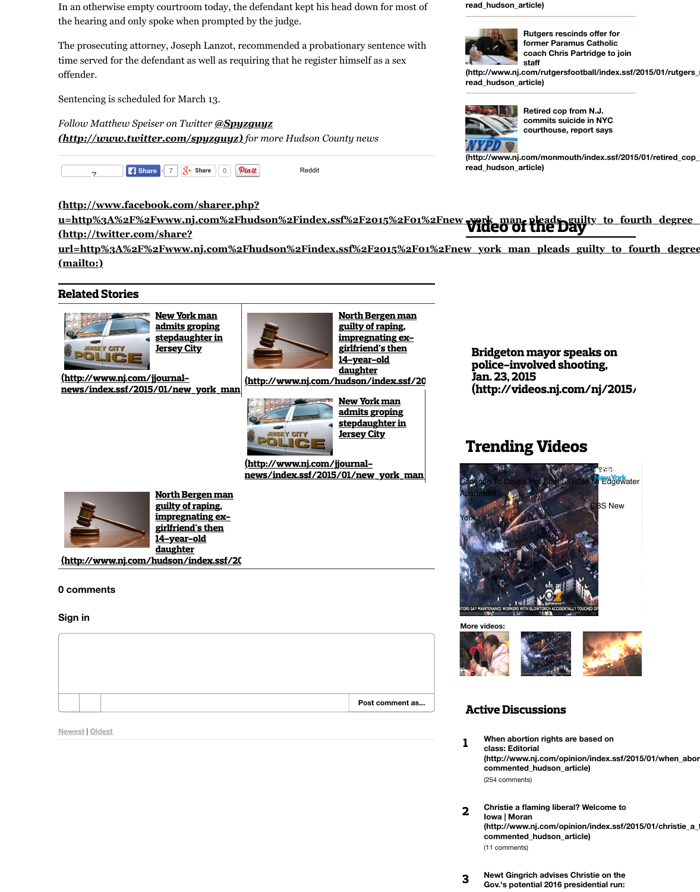





|--|

**[Newest](http://www.nj.com/jjournal-news/index.ssf/2015/01/new_york_man_pleads_guilty_to.html#incart_related_stories%23incart_related_stories)** | **Oldest**